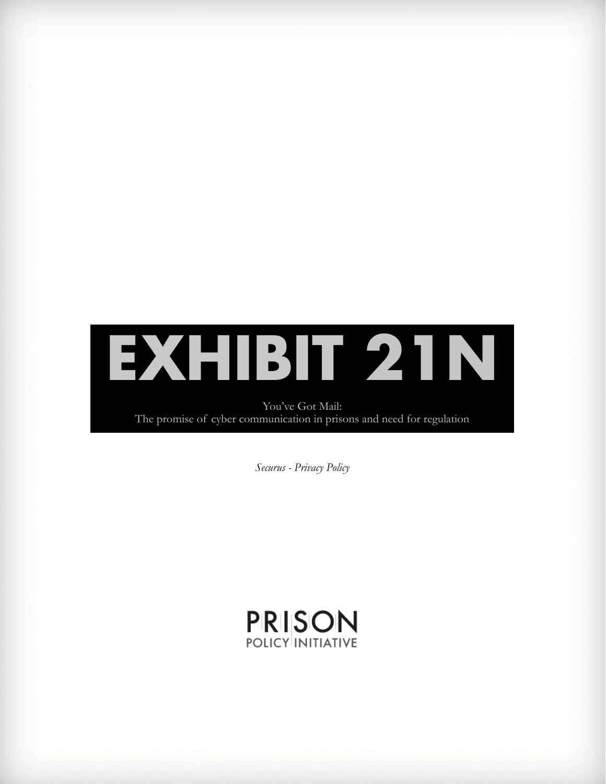

You've Got Mail: The promise of cyber communication in prisons and need for regulation

*Securus - Privacy Policy*

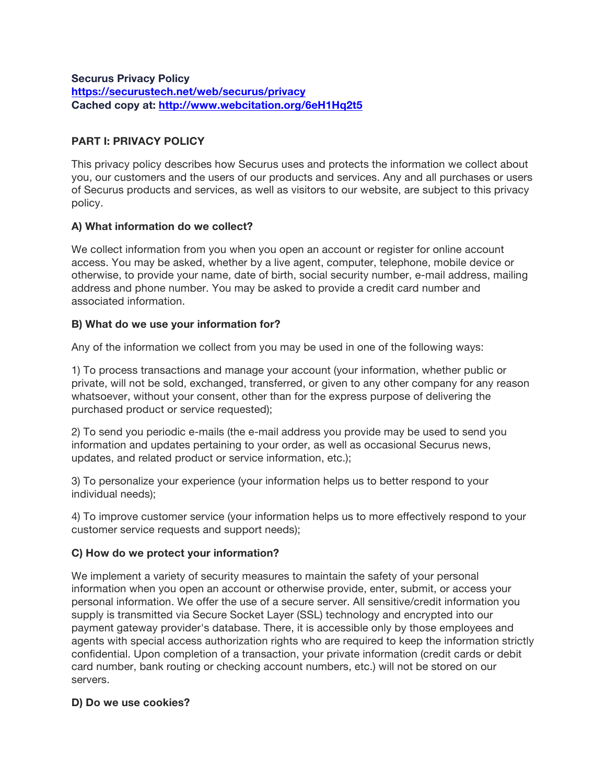**Securus Privacy Policy https://securustech.net/web/securus/privacy Cached copy at: http://www.webcitation.org/6eH1Hq2t5**

### **PART I: PRIVACY POLICY**

This privacy policy describes how Securus uses and protects the information we collect about you, our customers and the users of our products and services. Any and all purchases or users of Securus products and services, as well as visitors to our website, are subject to this privacy policy.

### **A) What information do we collect?**

We collect information from you when you open an account or register for online account access. You may be asked, whether by a live agent, computer, telephone, mobile device or otherwise, to provide your name, date of birth, social security number, e-mail address, mailing address and phone number. You may be asked to provide a credit card number and associated information.

### **B) What do we use your information for?**

Any of the information we collect from you may be used in one of the following ways:

1) To process transactions and manage your account (your information, whether public or private, will not be sold, exchanged, transferred, or given to any other company for any reason whatsoever, without your consent, other than for the express purpose of delivering the purchased product or service requested);

2) To send you periodic e-mails (the e-mail address you provide may be used to send you information and updates pertaining to your order, as well as occasional Securus news, updates, and related product or service information, etc.);

3) To personalize your experience (your information helps us to better respond to your individual needs);

4) To improve customer service (your information helps us to more effectively respond to your customer service requests and support needs);

### **C) How do we protect your information?**

We implement a variety of security measures to maintain the safety of your personal information when you open an account or otherwise provide, enter, submit, or access your personal information. We offer the use of a secure server. All sensitive/credit information you supply is transmitted via Secure Socket Layer (SSL) technology and encrypted into our payment gateway provider's database. There, it is accessible only by those employees and agents with special access authorization rights who are required to keep the information strictly confidential. Upon completion of a transaction, your private information (credit cards or debit card number, bank routing or checking account numbers, etc.) will not be stored on our servers.

#### **D) Do we use cookies?**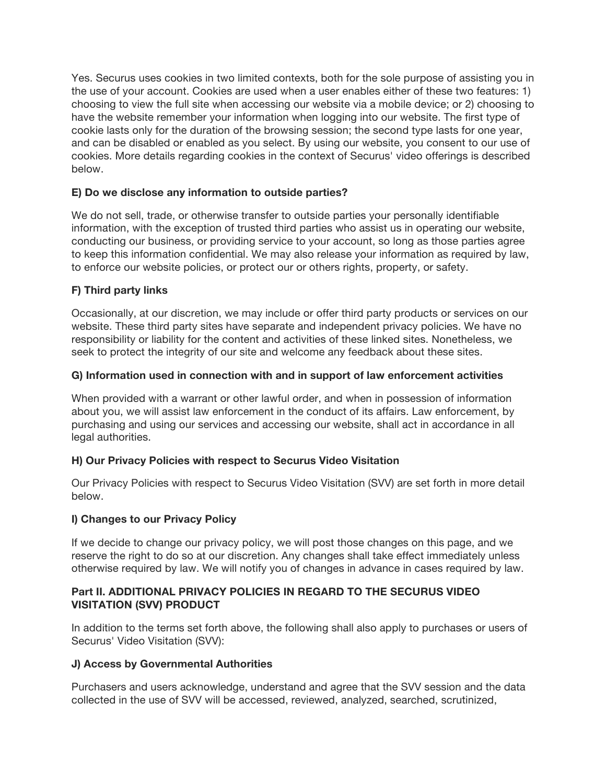Yes. Securus uses cookies in two limited contexts, both for the sole purpose of assisting you in the use of your account. Cookies are used when a user enables either of these two features: 1) choosing to view the full site when accessing our website via a mobile device; or 2) choosing to have the website remember your information when logging into our website. The first type of cookie lasts only for the duration of the browsing session; the second type lasts for one year, and can be disabled or enabled as you select. By using our website, you consent to our use of cookies. More details regarding cookies in the context of Securus' video offerings is described below.

### **E) Do we disclose any information to outside parties?**

We do not sell, trade, or otherwise transfer to outside parties your personally identifiable information, with the exception of trusted third parties who assist us in operating our website, conducting our business, or providing service to your account, so long as those parties agree to keep this information confidential. We may also release your information as required by law, to enforce our website policies, or protect our or others rights, property, or safety.

### **F) Third party links**

Occasionally, at our discretion, we may include or offer third party products or services on our website. These third party sites have separate and independent privacy policies. We have no responsibility or liability for the content and activities of these linked sites. Nonetheless, we seek to protect the integrity of our site and welcome any feedback about these sites.

### **G) Information used in connection with and in support of law enforcement activities**

When provided with a warrant or other lawful order, and when in possession of information about you, we will assist law enforcement in the conduct of its affairs. Law enforcement, by purchasing and using our services and accessing our website, shall act in accordance in all legal authorities.

## **H) Our Privacy Policies with respect to Securus Video Visitation**

Our Privacy Policies with respect to Securus Video Visitation (SVV) are set forth in more detail below.

### **I) Changes to our Privacy Policy**

If we decide to change our privacy policy, we will post those changes on this page, and we reserve the right to do so at our discretion. Any changes shall take effect immediately unless otherwise required by law. We will notify you of changes in advance in cases required by law.

### **Part II. ADDITIONAL PRIVACY POLICIES IN REGARD TO THE SECURUS VIDEO VISITATION (SVV) PRODUCT**

In addition to the terms set forth above, the following shall also apply to purchases or users of Securus' Video Visitation (SVV):

### **J) Access by Governmental Authorities**

Purchasers and users acknowledge, understand and agree that the SVV session and the data collected in the use of SVV will be accessed, reviewed, analyzed, searched, scrutinized,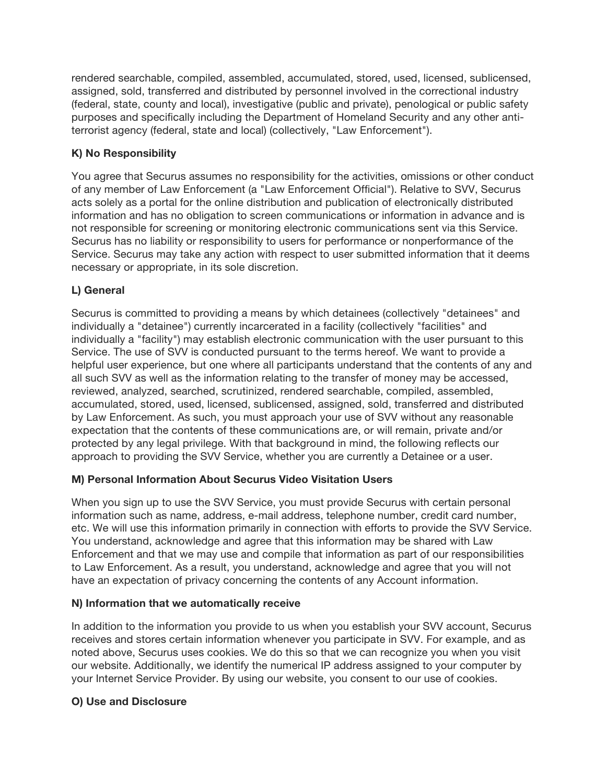rendered searchable, compiled, assembled, accumulated, stored, used, licensed, sublicensed, assigned, sold, transferred and distributed by personnel involved in the correctional industry (federal, state, county and local), investigative (public and private), penological or public safety purposes and specifically including the Department of Homeland Security and any other antiterrorist agency (federal, state and local) (collectively, "Law Enforcement").

## **K) No Responsibility**

You agree that Securus assumes no responsibility for the activities, omissions or other conduct of any member of Law Enforcement (a "Law Enforcement Official"). Relative to SVV, Securus acts solely as a portal for the online distribution and publication of electronically distributed information and has no obligation to screen communications or information in advance and is not responsible for screening or monitoring electronic communications sent via this Service. Securus has no liability or responsibility to users for performance or nonperformance of the Service. Securus may take any action with respect to user submitted information that it deems necessary or appropriate, in its sole discretion.

## **L) General**

Securus is committed to providing a means by which detainees (collectively "detainees" and individually a "detainee") currently incarcerated in a facility (collectively "facilities" and individually a "facility") may establish electronic communication with the user pursuant to this Service. The use of SVV is conducted pursuant to the terms hereof. We want to provide a helpful user experience, but one where all participants understand that the contents of any and all such SVV as well as the information relating to the transfer of money may be accessed, reviewed, analyzed, searched, scrutinized, rendered searchable, compiled, assembled, accumulated, stored, used, licensed, sublicensed, assigned, sold, transferred and distributed by Law Enforcement. As such, you must approach your use of SVV without any reasonable expectation that the contents of these communications are, or will remain, private and/or protected by any legal privilege. With that background in mind, the following reflects our approach to providing the SVV Service, whether you are currently a Detainee or a user.

### **M) Personal Information About Securus Video Visitation Users**

When you sign up to use the SVV Service, you must provide Securus with certain personal information such as name, address, e-mail address, telephone number, credit card number, etc. We will use this information primarily in connection with efforts to provide the SVV Service. You understand, acknowledge and agree that this information may be shared with Law Enforcement and that we may use and compile that information as part of our responsibilities to Law Enforcement. As a result, you understand, acknowledge and agree that you will not have an expectation of privacy concerning the contents of any Account information.

### **N) Information that we automatically receive**

In addition to the information you provide to us when you establish your SVV account, Securus receives and stores certain information whenever you participate in SVV. For example, and as noted above, Securus uses cookies. We do this so that we can recognize you when you visit our website. Additionally, we identify the numerical IP address assigned to your computer by your Internet Service Provider. By using our website, you consent to our use of cookies.

### **O) Use and Disclosure**